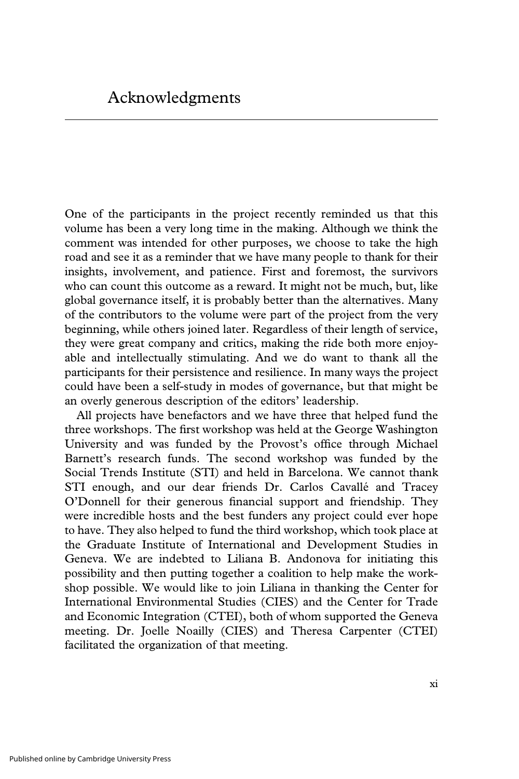One of the participants in the project recently reminded us that this volume has been a very long time in the making. Although we think the comment was intended for other purposes, we choose to take the high road and see it as a reminder that we have many people to thank for their insights, involvement, and patience. First and foremost, the survivors who can count this outcome as a reward. It might not be much, but, like global governance itself, it is probably better than the alternatives. Many of the contributors to the volume were part of the project from the very beginning, while others joined later. Regardless of their length of service, they were great company and critics, making the ride both more enjoyable and intellectually stimulating. And we do want to thank all the participants for their persistence and resilience. In many ways the project could have been a self-study in modes of governance, but that might be an overly generous description of the editors' leadership.

All projects have benefactors and we have three that helped fund the three workshops. The first workshop was held at the George Washington University and was funded by the Provost's office through Michael Barnett's research funds. The second workshop was funded by the Social Trends Institute (STI) and held in Barcelona. We cannot thank STI enough, and our dear friends Dr. Carlos Cavallé and Tracey O'Donnell for their generous financial support and friendship. They were incredible hosts and the best funders any project could ever hope to have. They also helped to fund the third workshop, which took place at the Graduate Institute of International and Development Studies in Geneva. We are indebted to Liliana B. Andonova for initiating this possibility and then putting together a coalition to help make the workshop possible. We would like to join Liliana in thanking the Center for International Environmental Studies (CIES) and the Center for Trade and Economic Integration (CTEI), both of whom supported the Geneva meeting. Dr. Joelle Noailly (CIES) and Theresa Carpenter (CTEI) facilitated the organization of that meeting.